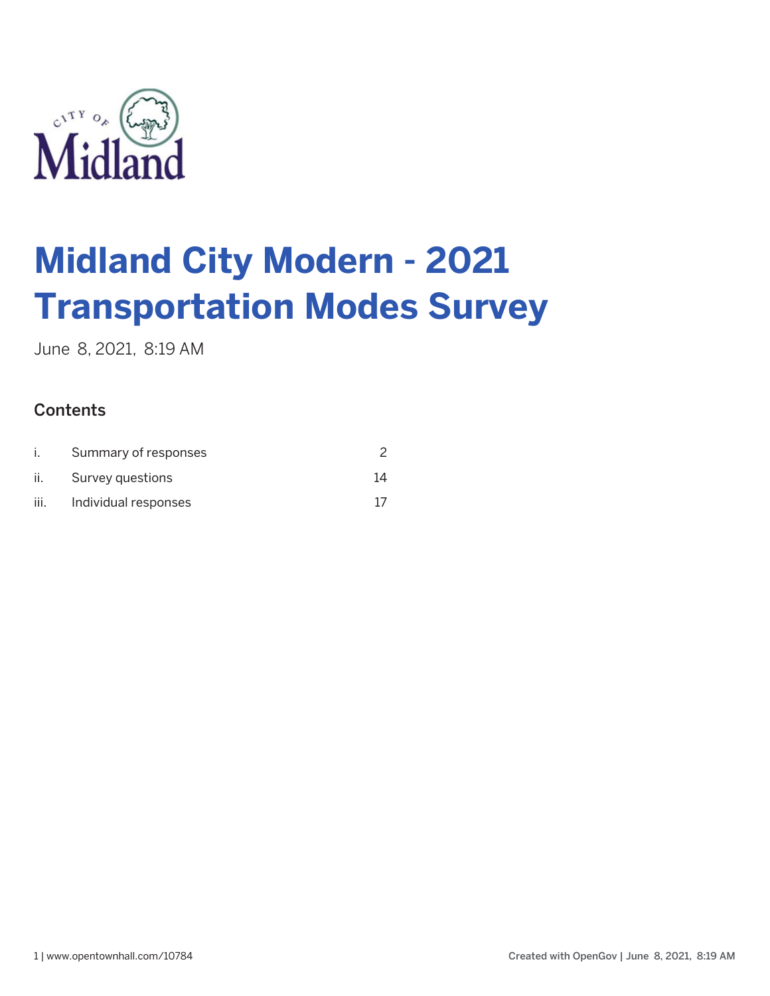

June 8, 2021, 8:19 AM

## **Contents**

|      | Summary of responses |    |
|------|----------------------|----|
| II.  | Survey questions     | 14 |
| III. | Individual responses |    |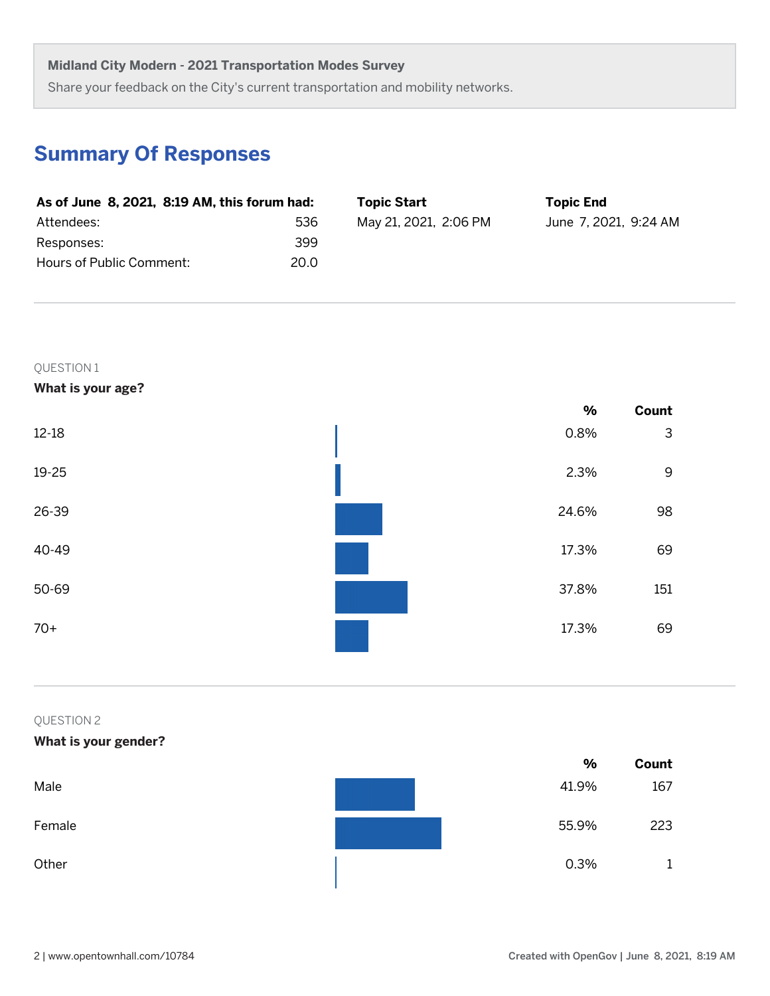Share your feedback on the City's current transportation and mobility networks.

# **Summary Of Responses**

| As of June 8, 2021, 8:19 AM, this forum had: |      | <b>Topic Start</b>    | <b>Topic End</b>      |
|----------------------------------------------|------|-----------------------|-----------------------|
| Attendees:                                   | 536  | May 21, 2021, 2:06 PM | June 7, 2021, 9:24 AM |
| Responses:                                   | 399  |                       |                       |
| Hours of Public Comment:                     | 20.0 |                       |                       |

QUESTION 1

**What is your age?**

|           | $\%$  | Count       |
|-----------|-------|-------------|
| $12 - 18$ | 0.8%  | 3           |
| $19 - 25$ | 2.3%  | $\mathsf 9$ |
| 26-39     | 24.6% | 98          |
| 40-49     | 17.3% | 69          |
| 50-69     | 37.8% | 151         |
| $70+$     | 17.3% | 69          |
|           |       |             |

## QUESTION 2

## **What is your gender?**

|        | %     | Count |
|--------|-------|-------|
| Male   | 41.9% | 167   |
| Female | 55.9% | 223   |
| Other  | 0.3%  | ᅩ     |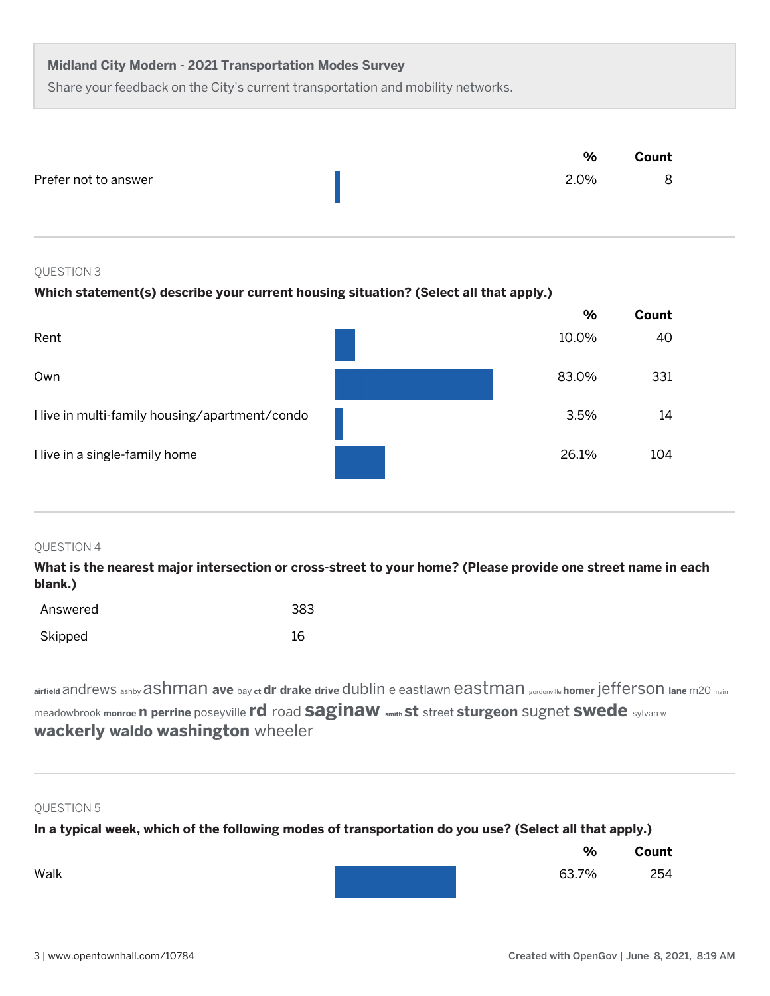Share your feedback on the City's current transportation and mobility networks.

|                      | $\frac{0}{0}$ | Count |
|----------------------|---------------|-------|
| Prefer not to answer | 2.0%          | 8     |
|                      |               |       |

#### QUESTION 3

## **Which statement(s) describe your current housing situation? (Select all that apply.)**

|                                                | $\frac{0}{0}$ | Count |
|------------------------------------------------|---------------|-------|
| Rent                                           | 10.0%         | 40    |
| Own                                            | 83.0%         | 331   |
| I live in multi-family housing/apartment/condo | 3.5%          | 14    |
| I live in a single-family home                 | 26.1%         | 104   |

#### QUESTION 4

**What is the nearest major intersection or cross-street to your home? (Please provide one street name in each blank.)**

| Answered | 383 |
|----------|-----|
| Skipped  | 16  |

airfield andrews ashby ashmman ave bay of dr drake drive dublin e eastlawn eastman gordonville homer jefferson lane m20 main meadowbrook **monroe n perrine** poseyville **rd** road **saginaw smith st** street **sturgeon** sugnet **swede** sylvan w **wackerly waldo washington** wheeler

#### QUESTION 5

**In a typical week, which of the following modes of transportation do you use? (Select all that apply.)**

|      | %     | Count |
|------|-------|-------|
| Walk | 63.7% | 254   |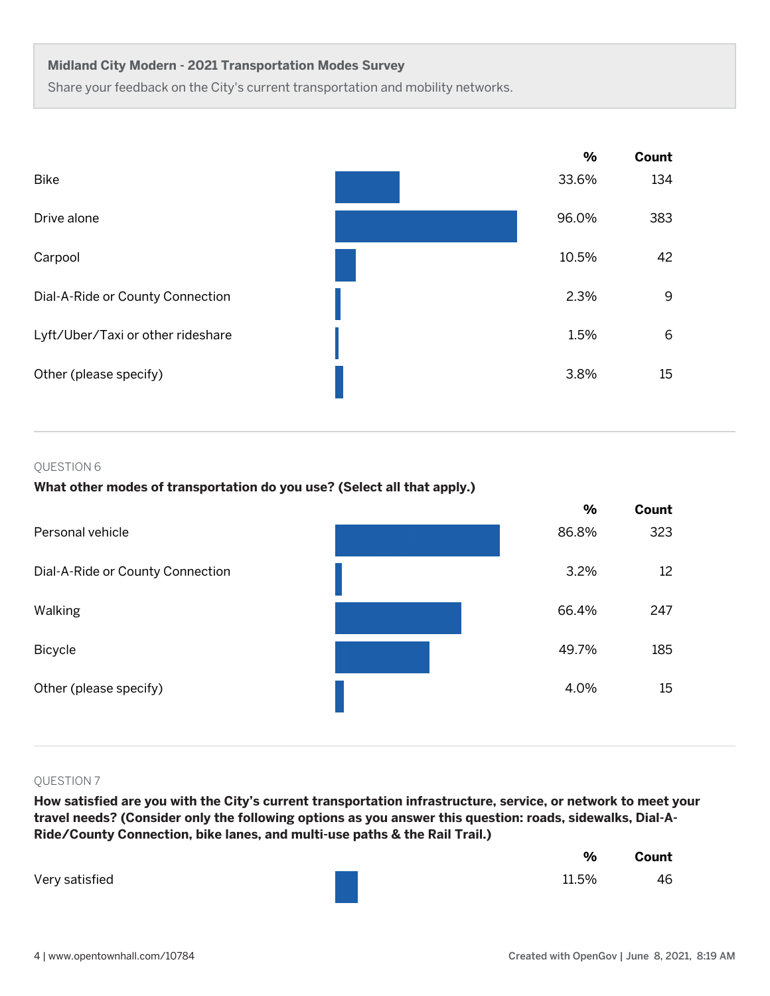Share your feedback on the City's current transportation and mobility networks.



#### QUESTION 6

## **What other modes of transportation do you use? (Select all that apply.)**



#### QUESTION 7

**How satisfied are you with the City's current transportation infrastructure, service, or network to meet your travel needs? (Consider only the following options as you answer this question: roads, sidewalks, Dial-A-Ride/County Connection, bike lanes, and multi-use paths & the Rail Trail.)**

|                | $\%$  | Count |
|----------------|-------|-------|
| Very satisfied | 11.5% | 46    |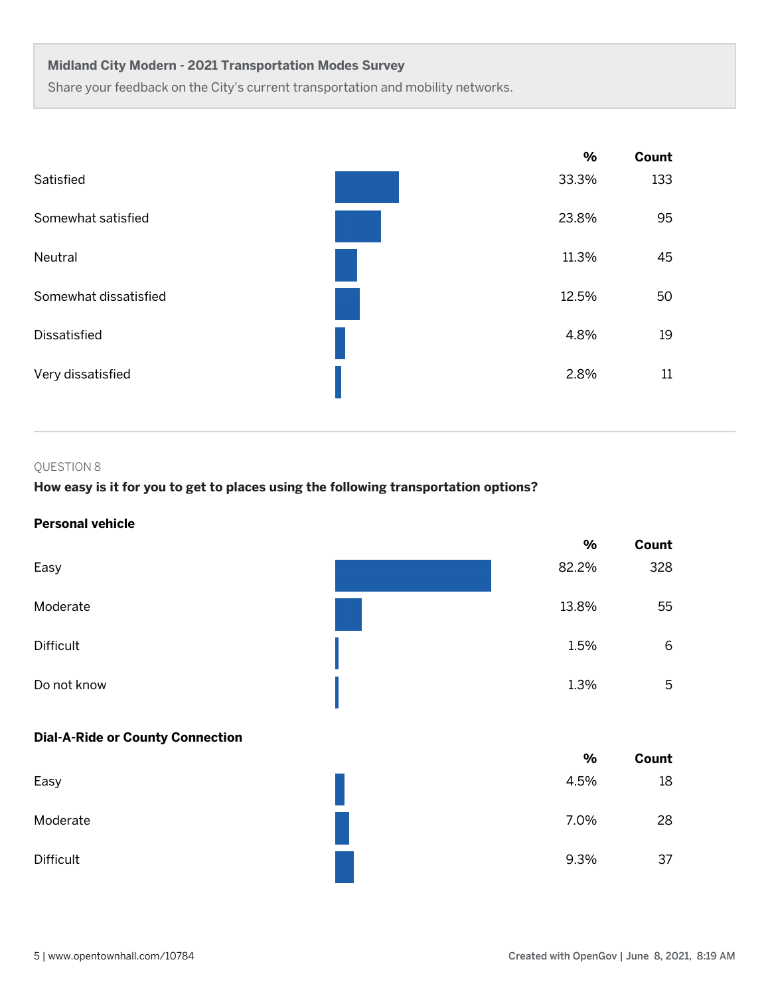Share your feedback on the City's current transportation and mobility networks.



## QUESTION 8

## **How easy is it for you to get to places using the following transportation options?**

## **Personal vehicle**

|                                         | %     | Count |
|-----------------------------------------|-------|-------|
| Easy                                    | 82.2% | 328   |
| Moderate                                | 13.8% | 55    |
| Difficult                               | 1.5%  | 6     |
| Do not know                             | 1.3%  | 5     |
|                                         |       |       |
| <b>Dial-A-Ride or County Connection</b> |       |       |
|                                         | $\%$  | Count |
| Easy                                    | 4.5%  | 18    |
| Moderate                                | 7.0%  | 28    |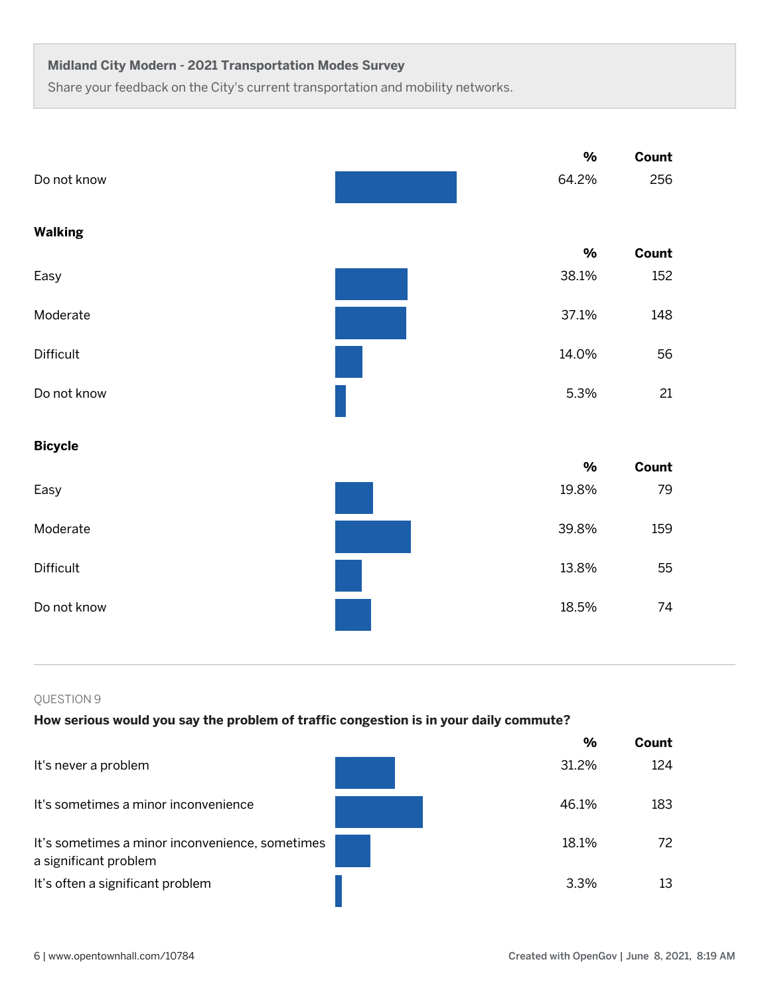Share your feedback on the City's current transportation and mobility networks.

|                | $\%$  | Count |
|----------------|-------|-------|
| Do not know    | 64.2% | 256   |
| <b>Walking</b> |       |       |
|                | $\%$  | Count |
| Easy           | 38.1% | 152   |
| Moderate       | 37.1% | 148   |
| Difficult      | 14.0% | 56    |
| Do not know    | 5.3%  | 21    |
| <b>Bicycle</b> |       |       |
|                | $\%$  | Count |
| Easy           | 19.8% | 79    |
| Moderate       | 39.8% | 159   |
| Difficult      | 13.8% | 55    |
| Do not know    | 18.5% | 74    |

QUESTION 9

## **How serious would you say the problem of traffic congestion is in your daily commute?**

|                                                                          | $\frac{9}{6}$ | Count |
|--------------------------------------------------------------------------|---------------|-------|
| It's never a problem                                                     | 31.2%         | 124   |
| It's sometimes a minor inconvenience                                     | 46.1%         | 183   |
| It's sometimes a minor inconvenience, sometimes<br>a significant problem | 18.1%         | 72.   |
| It's often a significant problem                                         | 3.3%          | 13    |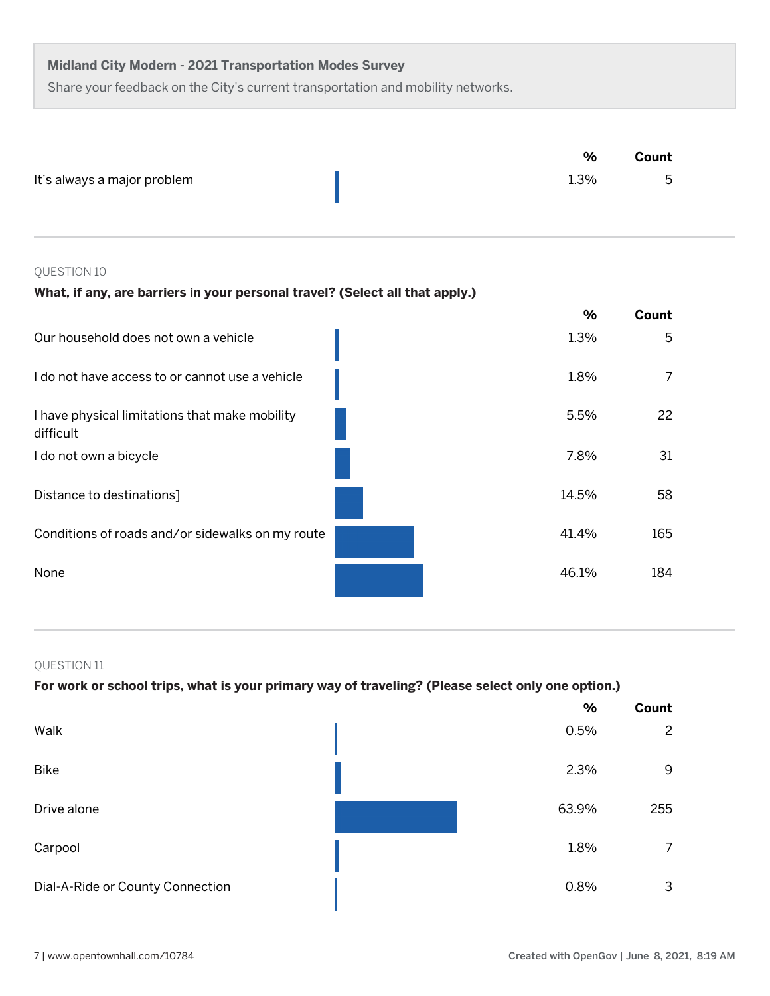Share your feedback on the City's current transportation and mobility networks.

|                             | %    | Count |
|-----------------------------|------|-------|
| It's always a major problem | 1.3% | h     |

## QUESTION 10

## **What, if any, are barriers in your personal travel? (Select all that apply.)**

|                                                             | $\%$  | Count |
|-------------------------------------------------------------|-------|-------|
| Our household does not own a vehicle                        | 1.3%  | 5     |
| I do not have access to or cannot use a vehicle             | 1.8%  |       |
| I have physical limitations that make mobility<br>difficult | 5.5%  | 22    |
| I do not own a bicycle                                      | 7.8%  | 31    |
| Distance to destinations]                                   | 14.5% | 58    |
| Conditions of roads and/or sidewalks on my route            | 41.4% | 165   |
| None                                                        | 46.1% | 184   |

## QUESTION 11

## **For work or school trips, what is your primary way of traveling? (Please select only one option.)**

|                                  | $\%$  | Count          |
|----------------------------------|-------|----------------|
| Walk                             | 0.5%  | $\overline{c}$ |
| <b>Bike</b>                      | 2.3%  | 9              |
| Drive alone                      | 63.9% | 255            |
| Carpool                          | 1.8%  | 7              |
| Dial-A-Ride or County Connection | 0.8%  | 3              |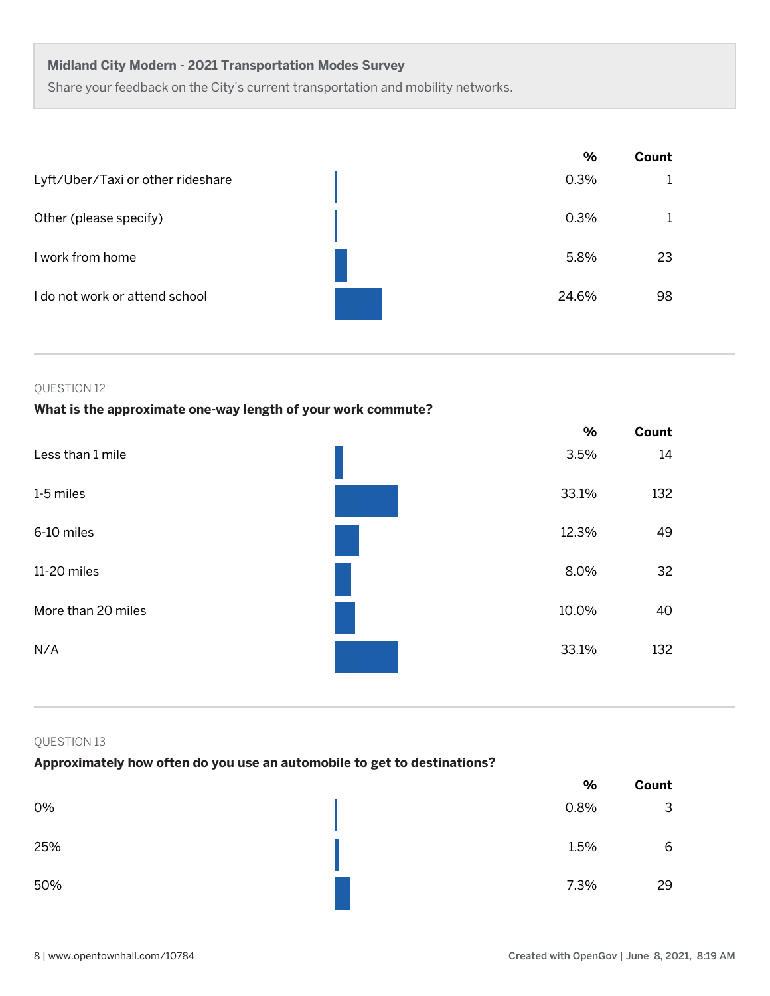Share your feedback on the City's current transportation and mobility networks.

|                                   | $\frac{9}{6}$ | Count |
|-----------------------------------|---------------|-------|
| Lyft/Uber/Taxi or other rideshare | 0.3%          |       |
| Other (please specify)            | 0.3%          |       |
| I work from home                  | 5.8%          | 23    |
| I do not work or attend school    | 24.6%         | 98    |

#### QUESTION 12

## **What is the approximate one-way length of your work commute?**

|                    | $\frac{0}{0}$ | Count |
|--------------------|---------------|-------|
| Less than 1 mile   | 3.5%          | 14    |
| 1-5 miles          | 33.1%         | 132   |
| 6-10 miles         | 12.3%         | 49    |
| 11-20 miles        | 8.0%          | 32    |
| More than 20 miles | 10.0%         | 40    |
| N/A                | 33.1%         | 132   |

## QUESTION 13

## **Approximately how often do you use an automobile to get to destinations?**

|     | $\%$ | Count |
|-----|------|-------|
| 0%  | 0.8% | 3     |
| 25% | 1.5% | 6     |
| 50% | 7.3% | 29    |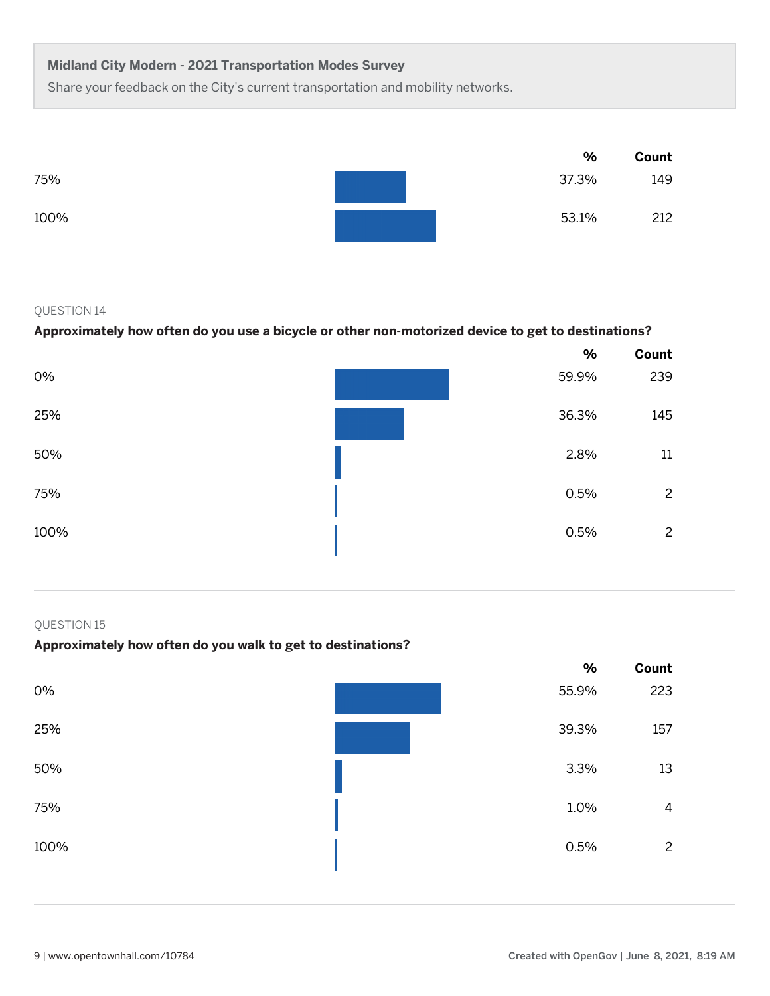Share your feedback on the City's current transportation and mobility networks.



## QUESTION 14

## **Approximately how often do you use a bicycle or other non-motorized device to get to destinations?**

|      | $\frac{0}{0}$ | Count          |
|------|---------------|----------------|
| 0%   | 59.9%         | 239            |
| 25%  | 36.3%         | 145            |
| 50%  | 2.8%          | 11             |
| 75%  | 0.5%          | $\overline{c}$ |
| 100% | 0.5%          | $\overline{c}$ |

#### QUESTION 15

## **Approximately how often do you walk to get to destinations?**

|      | $\frac{0}{0}$ | Count          |
|------|---------------|----------------|
| 0%   | 55.9%         | 223            |
| 25%  | 39.3%         | 157            |
| 50%  | 3.3%          | 13             |
| 75%  | 1.0%          | 4              |
| 100% | 0.5%          | $\overline{c}$ |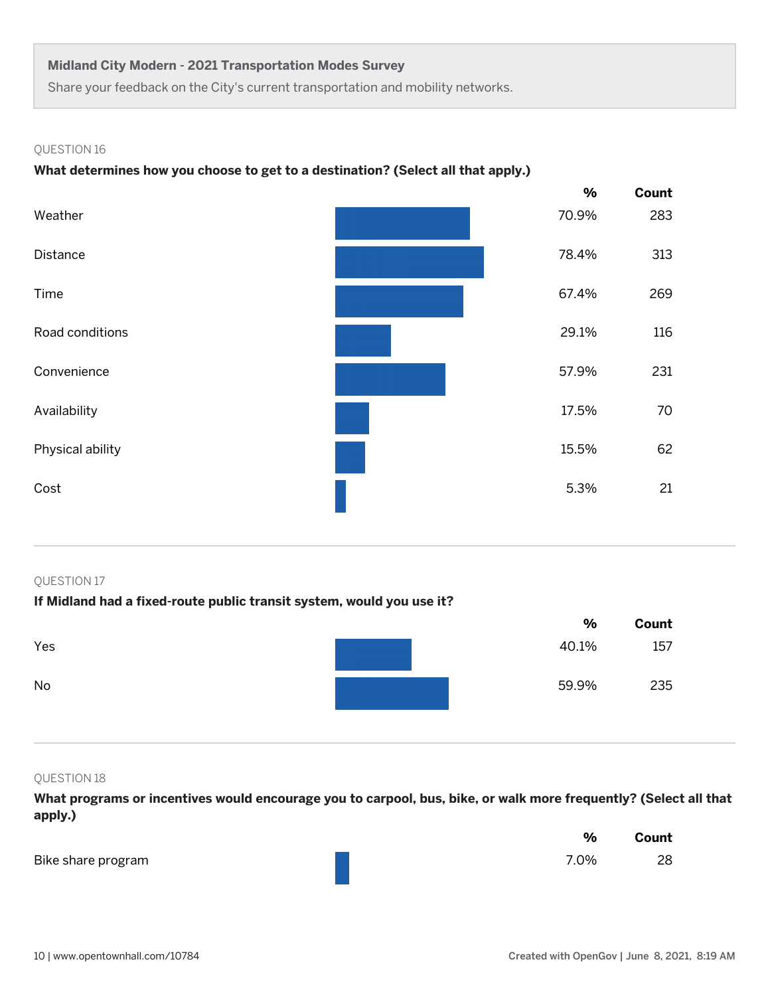Share your feedback on the City's current transportation and mobility networks.

#### QUESTION 16

## **What determines how you choose to get to a destination? (Select all that apply.)**



#### QUESTION 17

## **If Midland had a fixed-route public transit system, would you use it?**

|     | $\frac{0}{0}$ | Count |
|-----|---------------|-------|
| Yes | 40.1%         | 157   |
| No  | 59.9%         | 235   |

#### QUESTION 18

**What programs or incentives would encourage you to carpool, bus, bike, or walk more frequently? (Select all that apply.)**

|                    | $\frac{0}{0}$ | Count |
|--------------------|---------------|-------|
| Bike share program | 7.0%          | 28    |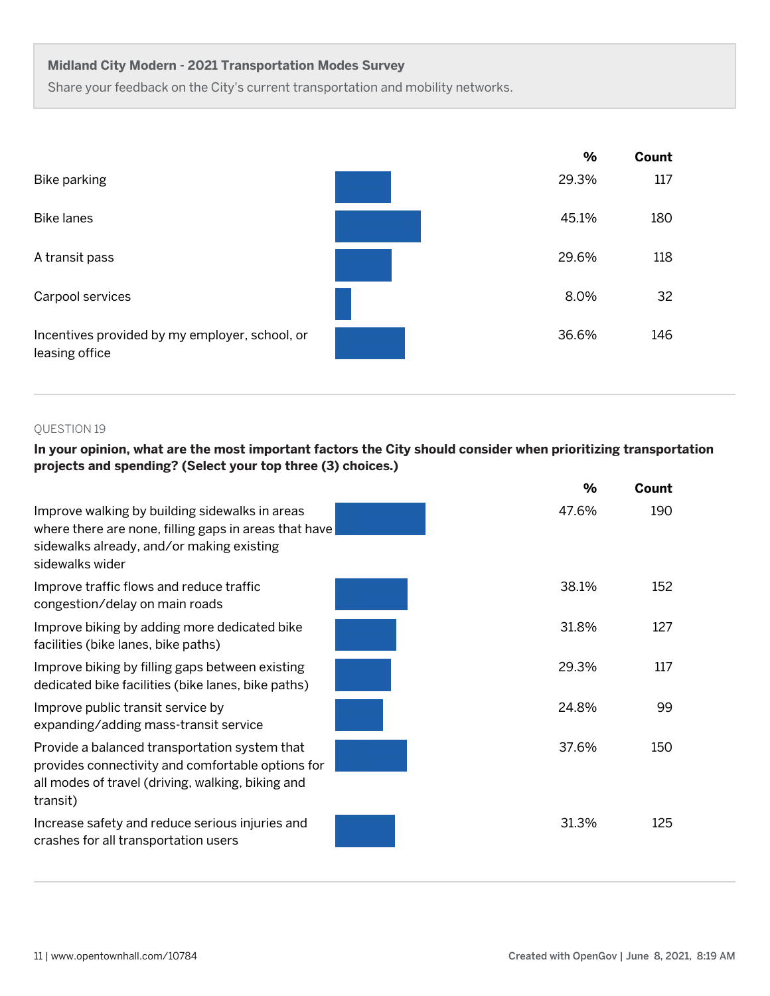Share your feedback on the City's current transportation and mobility networks.

|                                                                  | $\%$  | Count |
|------------------------------------------------------------------|-------|-------|
| Bike parking                                                     | 29.3% | 117   |
| <b>Bike lanes</b>                                                | 45.1% | 180   |
| A transit pass                                                   | 29.6% | 118   |
| Carpool services                                                 | 8.0%  | 32    |
| Incentives provided by my employer, school, or<br>leasing office | 36.6% | 146   |

## QUESTION 19

## **In your opinion, what are the most important factors the City should consider when prioritizing transportation projects and spending? (Select your top three (3) choices.)**

|                                                                                                                                                                         | %     | Count |
|-------------------------------------------------------------------------------------------------------------------------------------------------------------------------|-------|-------|
| Improve walking by building sidewalks in areas<br>where there are none, filling gaps in areas that have<br>sidewalks already, and/or making existing<br>sidewalks wider | 47.6% | 190   |
| Improve traffic flows and reduce traffic<br>congestion/delay on main roads                                                                                              | 38.1% | 152   |
| Improve biking by adding more dedicated bike<br>facilities (bike lanes, bike paths)                                                                                     | 31.8% | 127   |
| Improve biking by filling gaps between existing<br>dedicated bike facilities (bike lanes, bike paths)                                                                   | 29.3% | 117   |
| Improve public transit service by<br>expanding/adding mass-transit service                                                                                              | 24.8% | 99    |
| Provide a balanced transportation system that<br>provides connectivity and comfortable options for<br>all modes of travel (driving, walking, biking and<br>transit)     | 37.6% | 150   |
| Increase safety and reduce serious injuries and<br>crashes for all transportation users                                                                                 | 31.3% | 125   |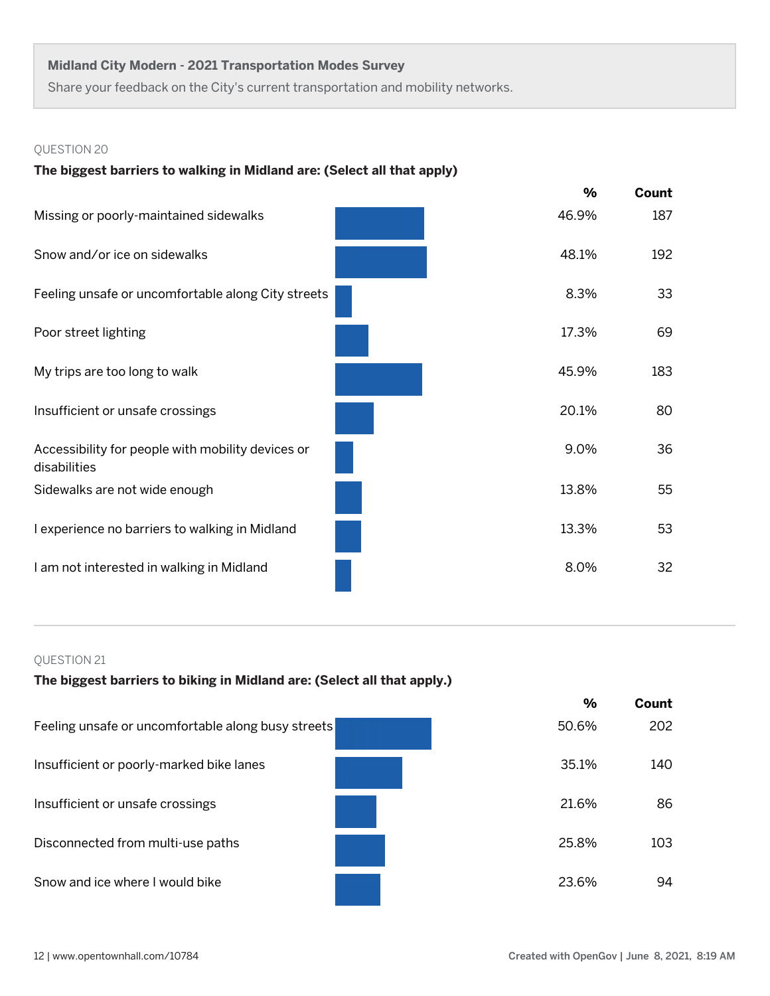Share your feedback on the City's current transportation and mobility networks.

## QUESTION 20

## **The biggest barriers to walking in Midland are: (Select all that apply)**

|                                                                   | $\frac{9}{6}$ | Count |
|-------------------------------------------------------------------|---------------|-------|
| Missing or poorly-maintained sidewalks                            | 46.9%         | 187   |
| Snow and/or ice on sidewalks                                      | 48.1%         | 192   |
| Feeling unsafe or uncomfortable along City streets                | 8.3%          | 33    |
| Poor street lighting                                              | 17.3%         | 69    |
| My trips are too long to walk                                     | 45.9%         | 183   |
| Insufficient or unsafe crossings                                  | 20.1%         | 80    |
| Accessibility for people with mobility devices or<br>disabilities | 9.0%          | 36    |
| Sidewalks are not wide enough                                     | 13.8%         | 55    |
| I experience no barriers to walking in Midland                    | 13.3%         | 53    |
| I am not interested in walking in Midland                         | 8.0%          | 32    |

## QUESTION 21

## **The biggest barriers to biking in Midland are: (Select all that apply.)**

|                                                    | %     | Count |
|----------------------------------------------------|-------|-------|
| Feeling unsafe or uncomfortable along busy streets | 50.6% | 202   |
| Insufficient or poorly-marked bike lanes           | 35.1% | 140   |
| Insufficient or unsafe crossings                   | 21.6% | 86    |
| Disconnected from multi-use paths                  | 25.8% | 103   |
| Snow and ice where I would bike                    | 23.6% | 94    |